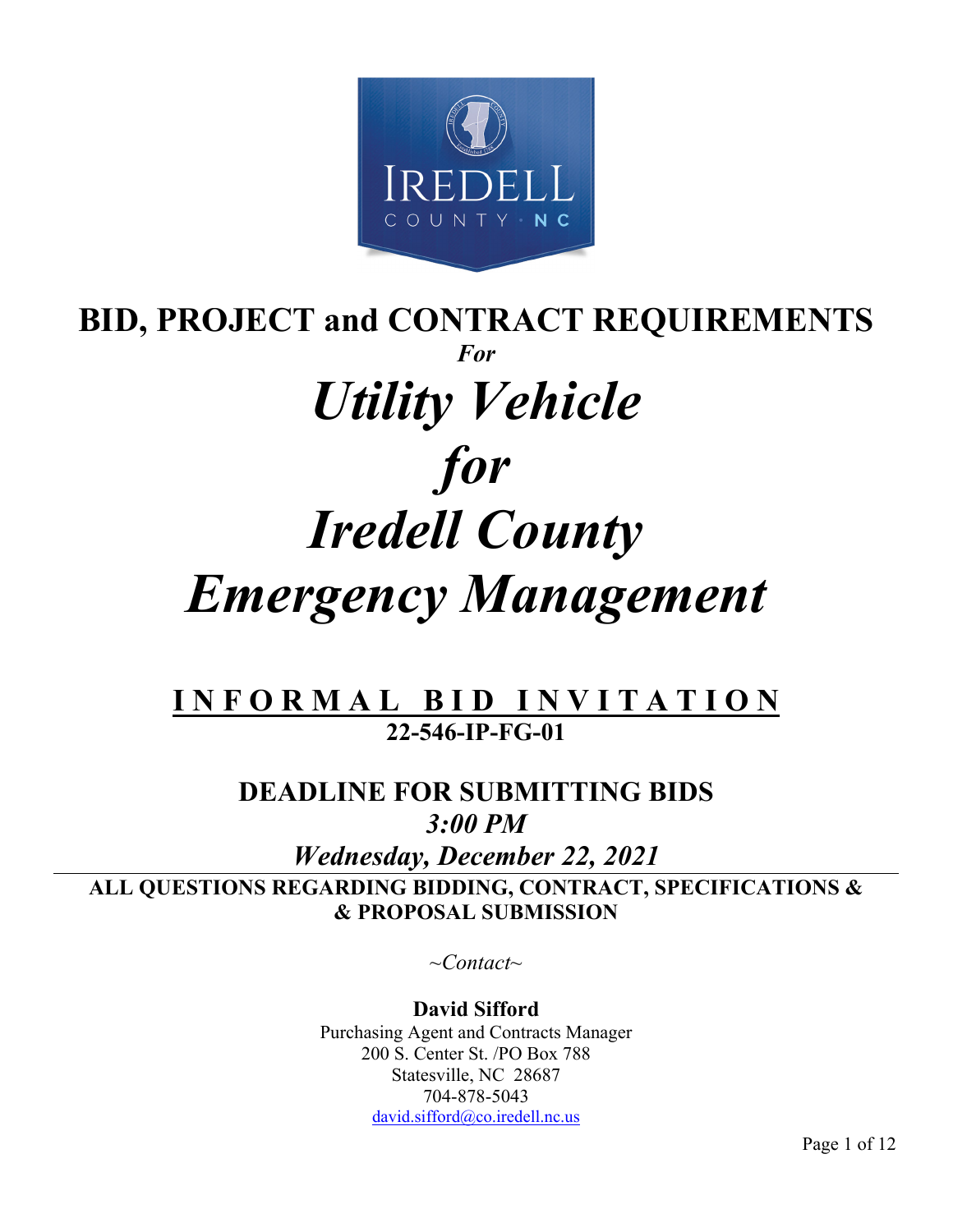

# **BID, PROJECT and CONTRACT REQUIREMENTS** *For Utility Vehicle for Iredell County Emergency Management*

# **I N F O R M A L B I D I N V I T A T I O N 22-546-IP-FG-01**

# **DEADLINE FOR SUBMITTING BIDS**  *3:00 PM*

*Wednesday, December 22, 2021* **ALL QUESTIONS REGARDING BIDDING, CONTRACT, SPECIFICATIONS & & PROPOSAL SUBMISSION** 

*~Contact~* 

**David Sifford**  Purchasing Agent and Contracts Manager 200 S. Center St. /PO Box 788 Statesville, NC 28687 704-878-5043 david.sifford@co.iredell.nc.us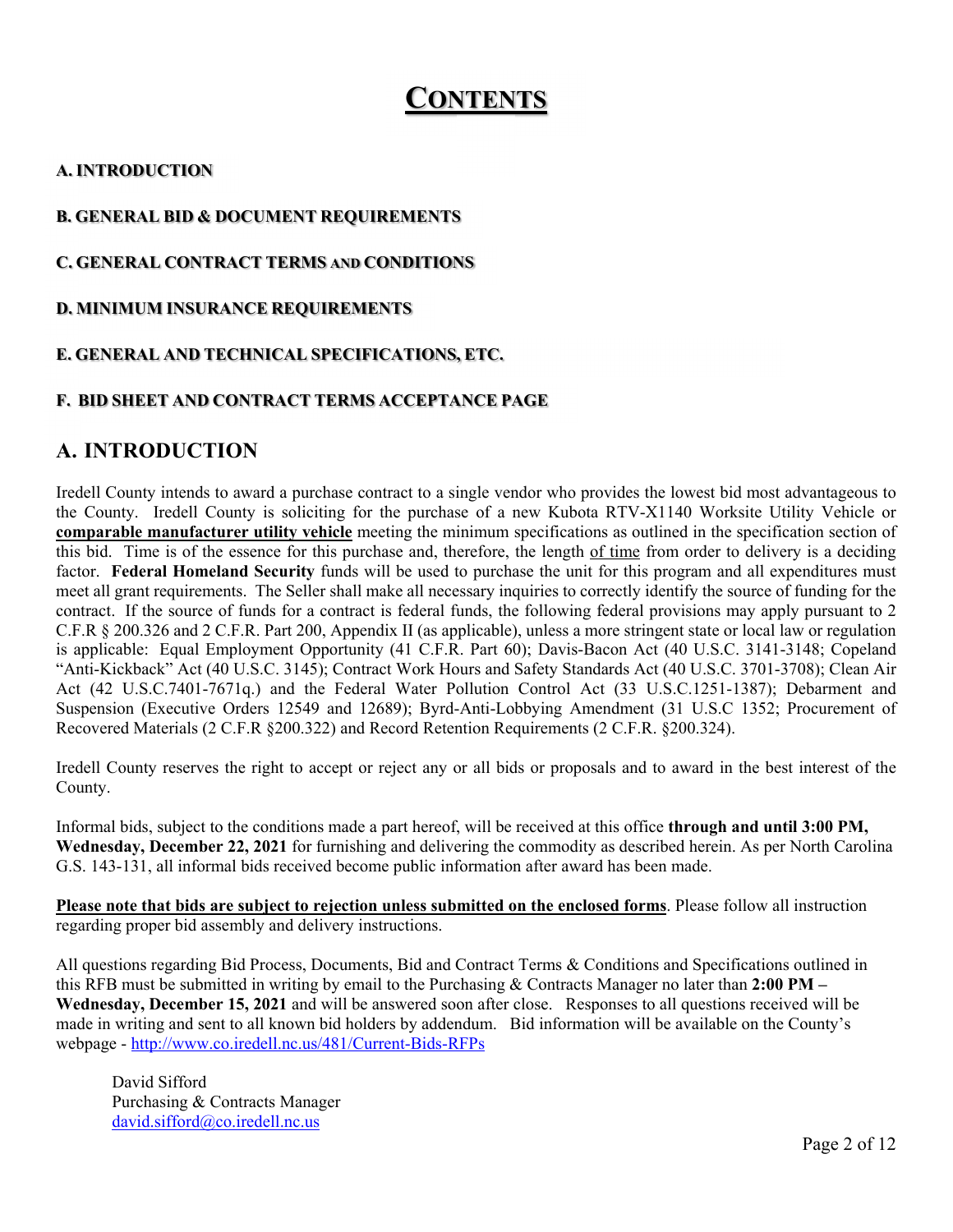# **CONTENTS**

#### **A. INTRODUCTION**

#### **B. GENERAL BID & DOCUMENT REQUIREMENTS**

#### **C. GENERAL CONTRACT TERMS AND CONDITIONS**

#### **D. MINIMUM INSURANCE REQUIREMENTS**

#### **E. GENERAL AND TECHNICAL SPECIFICATIONS, ETC.**

#### **F. BID SHEET AND CONTRACT TERMS ACCEPTANCE PAGE**

#### **A. INTRODUCTION**

Iredell County intends to award a purchase contract to a single vendor who provides the lowest bid most advantageous to the County. Iredell County is soliciting for the purchase of a new Kubota RTV-X1140 Worksite Utility Vehicle or **comparable manufacturer utility vehicle** meeting the minimum specifications as outlined in the specification section of this bid. Time is of the essence for this purchase and, therefore, the length of time from order to delivery is a deciding factor. **Federal Homeland Security** funds will be used to purchase the unit for this program and all expenditures must meet all grant requirements. The Seller shall make all necessary inquiries to correctly identify the source of funding for the contract. If the source of funds for a contract is federal funds, the following federal provisions may apply pursuant to 2 C.F.R § 200.326 and 2 C.F.R. Part 200, Appendix II (as applicable), unless a more stringent state or local law or regulation is applicable: Equal Employment Opportunity (41 C.F.R. Part 60); Davis-Bacon Act (40 U.S.C. 3141-3148; Copeland "Anti-Kickback" Act (40 U.S.C. 3145); Contract Work Hours and Safety Standards Act (40 U.S.C. 3701-3708); Clean Air Act (42 U.S.C.7401-7671q.) and the Federal Water Pollution Control Act (33 U.S.C.1251-1387); Debarment and Suspension (Executive Orders 12549 and 12689); Byrd-Anti-Lobbying Amendment (31 U.S.C 1352; Procurement of Recovered Materials (2 C.F.R §200.322) and Record Retention Requirements (2 C.F.R. §200.324).

Iredell County reserves the right to accept or reject any or all bids or proposals and to award in the best interest of the County.

Informal bids, subject to the conditions made a part hereof, will be received at this office **through and until 3:00 PM, Wednesday, December 22, 2021** for furnishing and delivering the commodity as described herein. As per North Carolina G.S. 143-131, all informal bids received become public information after award has been made.

**Please note that bids are subject to rejection unless submitted on the enclosed forms**. Please follow all instruction regarding proper bid assembly and delivery instructions.

All questions regarding Bid Process, Documents, Bid and Contract Terms & Conditions and Specifications outlined in this RFB must be submitted in writing by email to the Purchasing & Contracts Manager no later than **2:00 PM – Wednesday, December 15, 2021** and will be answered soon after close. Responses to all questions received will be made in writing and sent to all known bid holders by addendum. Bid information will be available on the County's webpage - http://www.co.iredell.nc.us/481/Current-Bids-RFPs

David Sifford Purchasing & Contracts Manager david.sifford@co.iredell.nc.us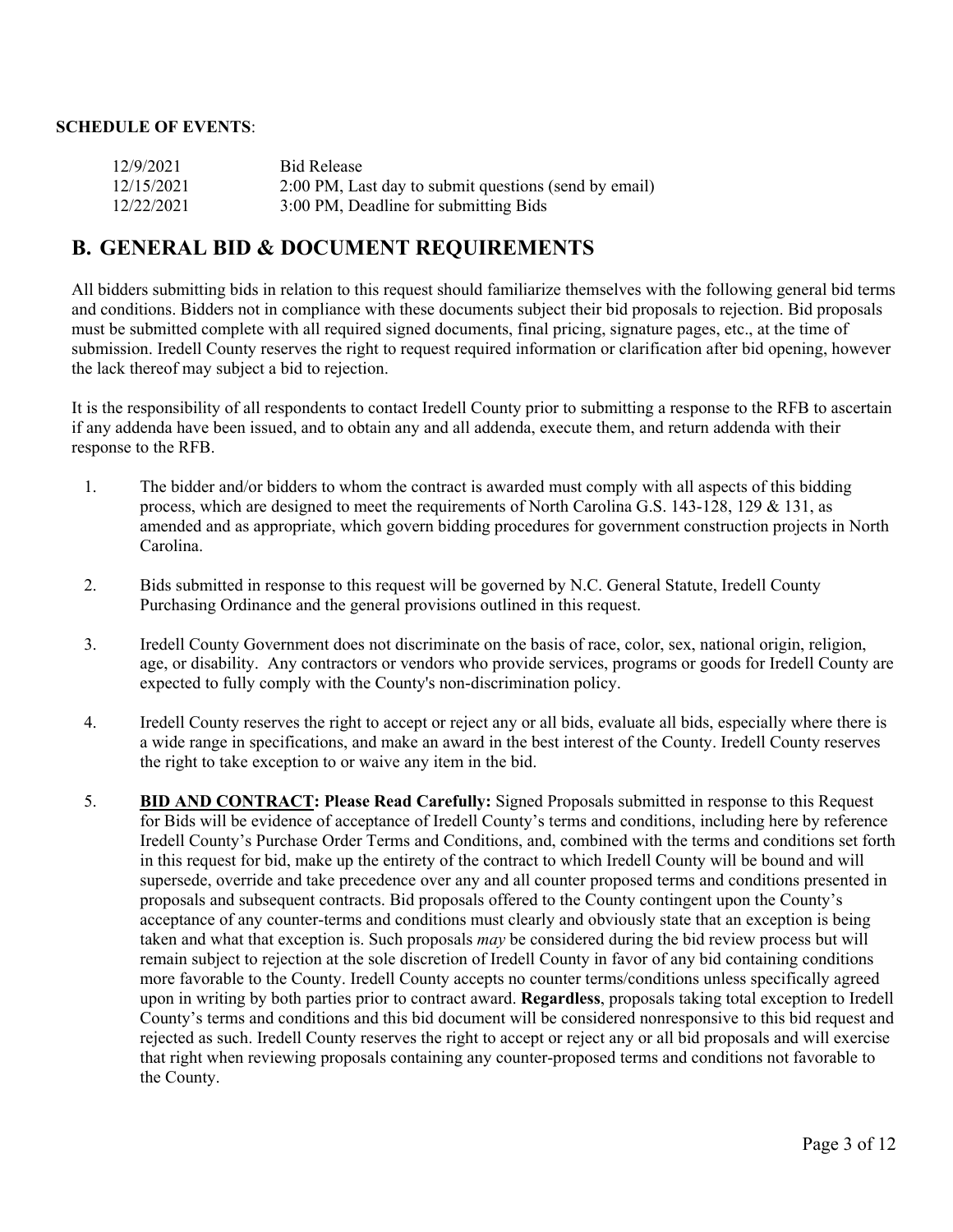#### **SCHEDULE OF EVENTS**:

| 12/9/2021  | <b>Bid Release</b>                                    |
|------------|-------------------------------------------------------|
| 12/15/2021 | 2:00 PM, Last day to submit questions (send by email) |
| 12/22/2021 | 3:00 PM, Deadline for submitting Bids                 |

#### **B. GENERAL BID & DOCUMENT REQUIREMENTS**

All bidders submitting bids in relation to this request should familiarize themselves with the following general bid terms and conditions. Bidders not in compliance with these documents subject their bid proposals to rejection. Bid proposals must be submitted complete with all required signed documents, final pricing, signature pages, etc., at the time of submission. Iredell County reserves the right to request required information or clarification after bid opening, however the lack thereof may subject a bid to rejection.

It is the responsibility of all respondents to contact Iredell County prior to submitting a response to the RFB to ascertain if any addenda have been issued, and to obtain any and all addenda, execute them, and return addenda with their response to the RFB.

- 1. The bidder and/or bidders to whom the contract is awarded must comply with all aspects of this bidding process, which are designed to meet the requirements of North Carolina G.S. 143-128, 129 & 131, as amended and as appropriate, which govern bidding procedures for government construction projects in North Carolina.
- 2. Bids submitted in response to this request will be governed by N.C. General Statute, Iredell County Purchasing Ordinance and the general provisions outlined in this request.
- 3. Iredell County Government does not discriminate on the basis of race, color, sex, national origin, religion, age, or disability. Any contractors or vendors who provide services, programs or goods for Iredell County are expected to fully comply with the County's non-discrimination policy.
- 4. Iredell County reserves the right to accept or reject any or all bids, evaluate all bids, especially where there is a wide range in specifications, and make an award in the best interest of the County. Iredell County reserves the right to take exception to or waive any item in the bid.
- 5. **BID AND CONTRACT: Please Read Carefully:** Signed Proposals submitted in response to this Request for Bids will be evidence of acceptance of Iredell County's terms and conditions, including here by reference Iredell County's Purchase Order Terms and Conditions, and, combined with the terms and conditions set forth in this request for bid, make up the entirety of the contract to which Iredell County will be bound and will supersede, override and take precedence over any and all counter proposed terms and conditions presented in proposals and subsequent contracts. Bid proposals offered to the County contingent upon the County's acceptance of any counter-terms and conditions must clearly and obviously state that an exception is being taken and what that exception is. Such proposals *may* be considered during the bid review process but will remain subject to rejection at the sole discretion of Iredell County in favor of any bid containing conditions more favorable to the County. Iredell County accepts no counter terms/conditions unless specifically agreed upon in writing by both parties prior to contract award. **Regardless**, proposals taking total exception to Iredell County's terms and conditions and this bid document will be considered nonresponsive to this bid request and rejected as such. Iredell County reserves the right to accept or reject any or all bid proposals and will exercise that right when reviewing proposals containing any counter-proposed terms and conditions not favorable to the County.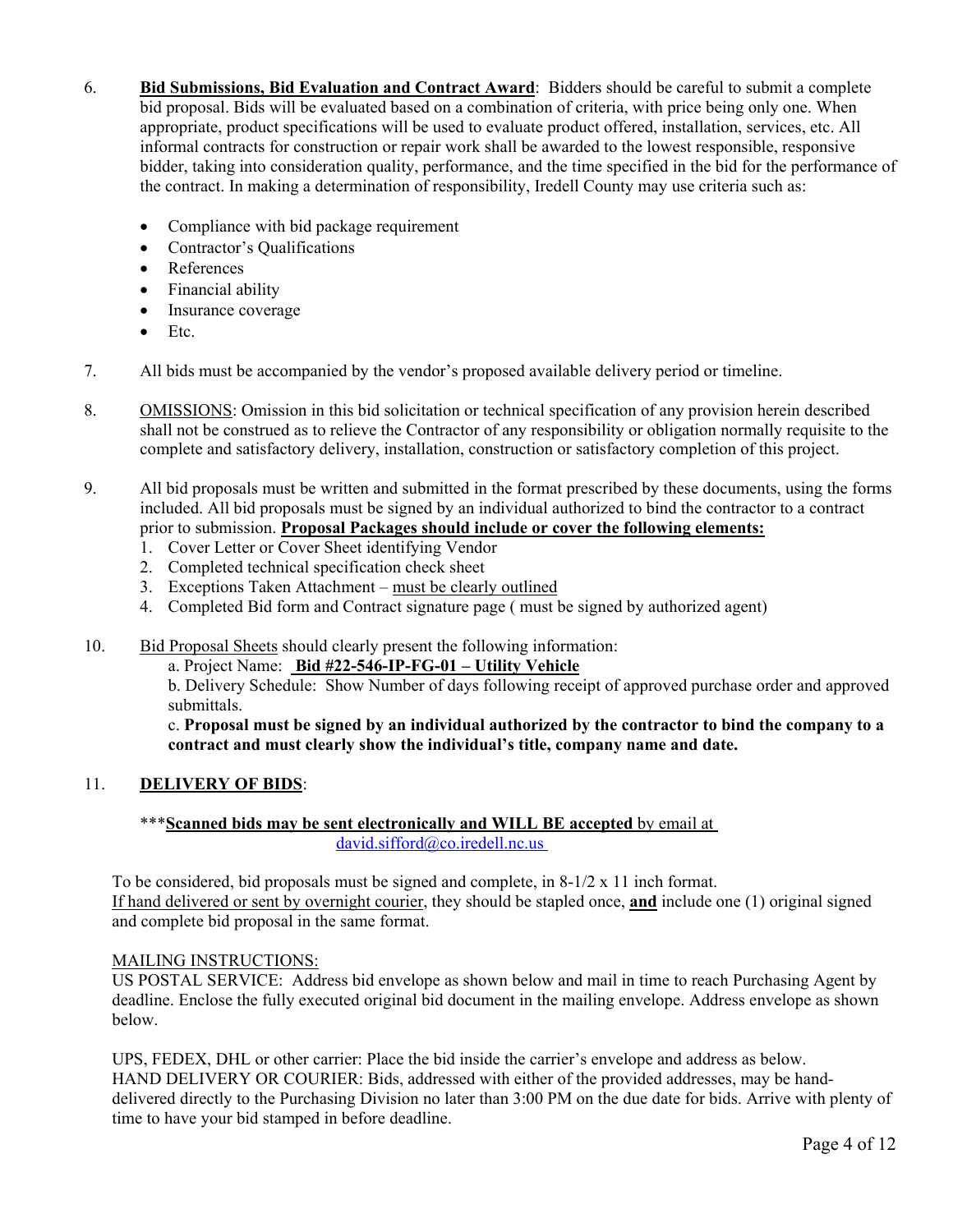- 6. **Bid Submissions, Bid Evaluation and Contract Award**: Bidders should be careful to submit a complete bid proposal. Bids will be evaluated based on a combination of criteria, with price being only one. When appropriate, product specifications will be used to evaluate product offered, installation, services, etc. All informal contracts for construction or repair work shall be awarded to the lowest responsible, responsive bidder, taking into consideration quality, performance, and the time specified in the bid for the performance of the contract. In making a determination of responsibility, Iredell County may use criteria such as:
	- Compliance with bid package requirement
	- Contractor's Qualifications
	- References
	- Financial ability
	- Insurance coverage
	- $\bullet$  Etc.
- 7. All bids must be accompanied by the vendor's proposed available delivery period or timeline.
- 8. OMISSIONS: Omission in this bid solicitation or technical specification of any provision herein described shall not be construed as to relieve the Contractor of any responsibility or obligation normally requisite to the complete and satisfactory delivery, installation, construction or satisfactory completion of this project.
- 9. All bid proposals must be written and submitted in the format prescribed by these documents, using the forms included. All bid proposals must be signed by an individual authorized to bind the contractor to a contract prior to submission. **Proposal Packages should include or cover the following elements:**
	- 1. Cover Letter or Cover Sheet identifying Vendor
	- 2. Completed technical specification check sheet
	- 3. Exceptions Taken Attachment must be clearly outlined
	- 4. Completed Bid form and Contract signature page ( must be signed by authorized agent)
- 10. Bid Proposal Sheets should clearly present the following information:
	- a. Project Name: **Bid #22-546-IP-FG-01 Utility Vehicle**

b. Delivery Schedule: Show Number of days following receipt of approved purchase order and approved submittals.

c. **Proposal must be signed by an individual authorized by the contractor to bind the company to a contract and must clearly show the individual's title, company name and date.** 

#### 11. **DELIVERY OF BIDS**:

#### \*\*\***Scanned bids may be sent electronically and WILL BE accepted** by email at david.sifford@co.iredell.nc.us

To be considered, bid proposals must be signed and complete, in 8-1/2 x 11 inch format. If hand delivered or sent by overnight courier, they should be stapled once, **and** include one (1) original signed and complete bid proposal in the same format.

#### MAILING INSTRUCTIONS:

US POSTAL SERVICE: Address bid envelope as shown below and mail in time to reach Purchasing Agent by deadline. Enclose the fully executed original bid document in the mailing envelope. Address envelope as shown below.

UPS, FEDEX, DHL or other carrier: Place the bid inside the carrier's envelope and address as below. HAND DELIVERY OR COURIER: Bids, addressed with either of the provided addresses, may be handdelivered directly to the Purchasing Division no later than 3:00 PM on the due date for bids. Arrive with plenty of time to have your bid stamped in before deadline.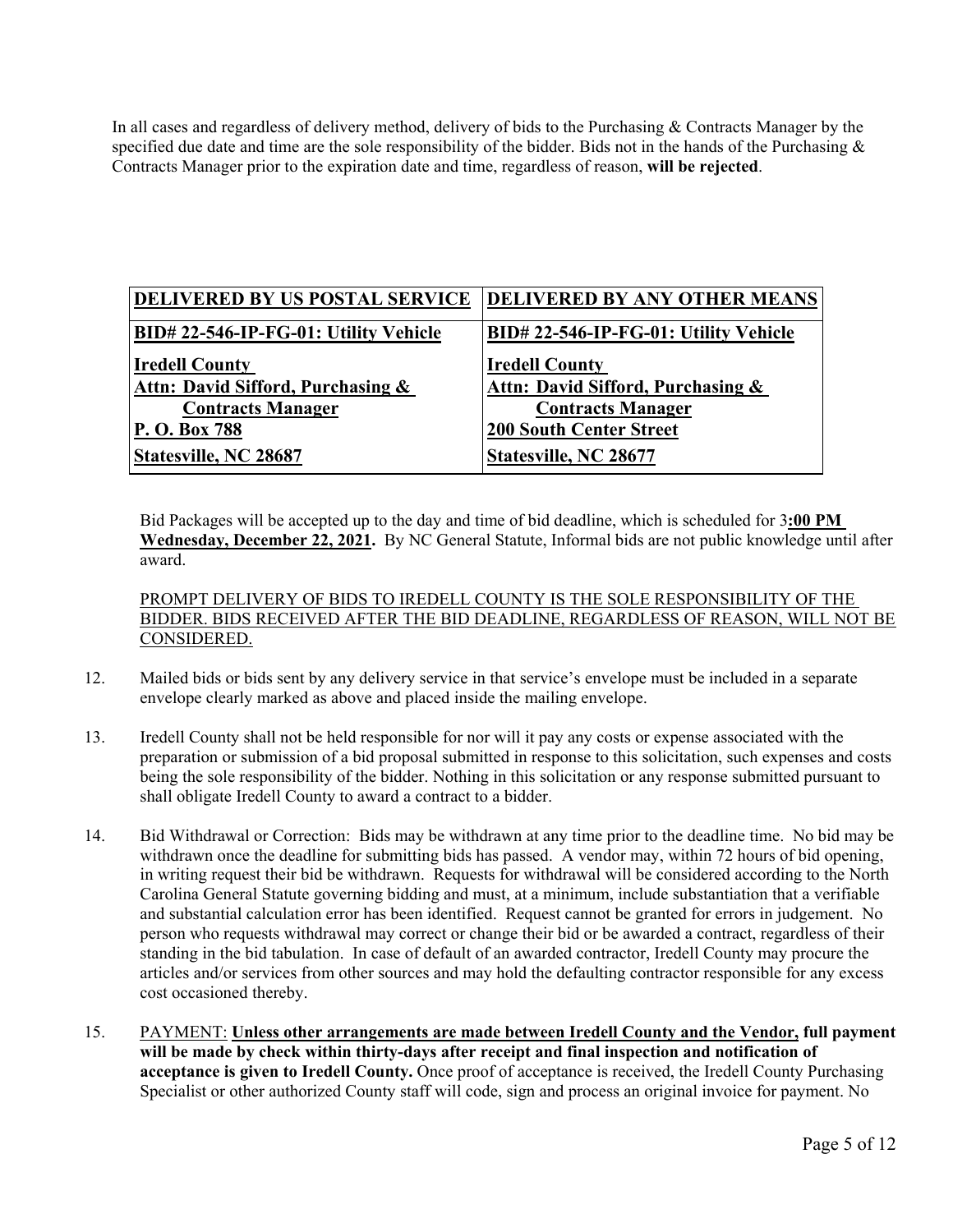In all cases and regardless of delivery method, delivery of bids to the Purchasing & Contracts Manager by the specified due date and time are the sole responsibility of the bidder. Bids not in the hands of the Purchasing  $\&$ Contracts Manager prior to the expiration date and time, regardless of reason, **will be rejected**.

| <b>DELIVERED BY US POSTAL SERVICE</b> | <b>DELIVERED BY ANY OTHER MEANS</b>  |
|---------------------------------------|--------------------------------------|
| BID# 22-546-IP-FG-01: Utility Vehicle | BID#22-546-IP-FG-01: Utility Vehicle |
| <b>Iredell County</b>                 | <b>Iredell County</b>                |
| Attn: David Sifford, Purchasing &     | Attn: David Sifford, Purchasing &    |
| <b>Contracts Manager</b>              | <b>Contracts Manager</b>             |
| P. O. Box 788                         | <b>200 South Center Street</b>       |
| Statesville, NC 28687                 | Statesville, NC 28677                |

Bid Packages will be accepted up to the day and time of bid deadline, which is scheduled for 3**:00 PM Wednesday, December 22, 2021.** By NC General Statute, Informal bids are not public knowledge until after award.

PROMPT DELIVERY OF BIDS TO IREDELL COUNTY IS THE SOLE RESPONSIBILITY OF THE BIDDER. BIDS RECEIVED AFTER THE BID DEADLINE, REGARDLESS OF REASON, WILL NOT BE CONSIDERED.

- 12. Mailed bids or bids sent by any delivery service in that service's envelope must be included in a separate envelope clearly marked as above and placed inside the mailing envelope.
- 13. Iredell County shall not be held responsible for nor will it pay any costs or expense associated with the preparation or submission of a bid proposal submitted in response to this solicitation, such expenses and costs being the sole responsibility of the bidder. Nothing in this solicitation or any response submitted pursuant to shall obligate Iredell County to award a contract to a bidder.
- 14. Bid Withdrawal or Correction: Bids may be withdrawn at any time prior to the deadline time. No bid may be withdrawn once the deadline for submitting bids has passed. A vendor may, within 72 hours of bid opening, in writing request their bid be withdrawn. Requests for withdrawal will be considered according to the North Carolina General Statute governing bidding and must, at a minimum, include substantiation that a verifiable and substantial calculation error has been identified. Request cannot be granted for errors in judgement. No person who requests withdrawal may correct or change their bid or be awarded a contract, regardless of their standing in the bid tabulation. In case of default of an awarded contractor, Iredell County may procure the articles and/or services from other sources and may hold the defaulting contractor responsible for any excess cost occasioned thereby.
- 15. PAYMENT: **Unless other arrangements are made between Iredell County and the Vendor, full payment will be made by check within thirty-days after receipt and final inspection and notification of acceptance is given to Iredell County.** Once proof of acceptance is received, the Iredell County Purchasing Specialist or other authorized County staff will code, sign and process an original invoice for payment. No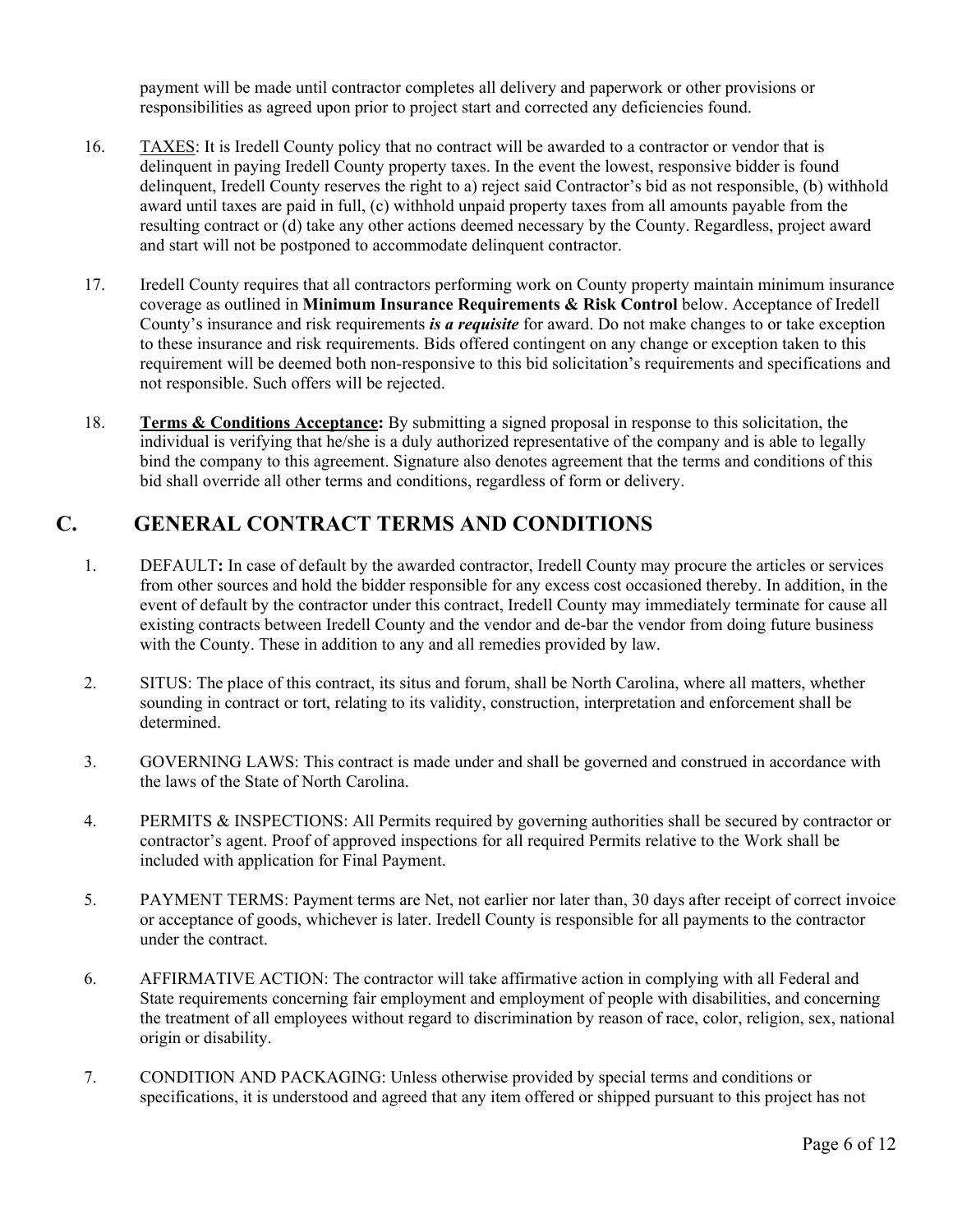payment will be made until contractor completes all delivery and paperwork or other provisions or responsibilities as agreed upon prior to project start and corrected any deficiencies found.

- 16. TAXES: It is Iredell County policy that no contract will be awarded to a contractor or vendor that is delinquent in paying Iredell County property taxes. In the event the lowest, responsive bidder is found delinquent, Iredell County reserves the right to a) reject said Contractor's bid as not responsible, (b) withhold award until taxes are paid in full, (c) withhold unpaid property taxes from all amounts payable from the resulting contract or (d) take any other actions deemed necessary by the County. Regardless, project award and start will not be postponed to accommodate delinquent contractor.
- 17. Iredell County requires that all contractors performing work on County property maintain minimum insurance coverage as outlined in **Minimum Insurance Requirements & Risk Control** below. Acceptance of Iredell County's insurance and risk requirements *is a requisite* for award. Do not make changes to or take exception to these insurance and risk requirements. Bids offered contingent on any change or exception taken to this requirement will be deemed both non-responsive to this bid solicitation's requirements and specifications and not responsible. Such offers will be rejected.
- 18. **Terms & Conditions Acceptance:** By submitting a signed proposal in response to this solicitation, the individual is verifying that he/she is a duly authorized representative of the company and is able to legally bind the company to this agreement. Signature also denotes agreement that the terms and conditions of this bid shall override all other terms and conditions, regardless of form or delivery.

## **C. GENERAL CONTRACT TERMS AND CONDITIONS**

- 1. DEFAULT**:** In case of default by the awarded contractor, Iredell County may procure the articles or services from other sources and hold the bidder responsible for any excess cost occasioned thereby. In addition, in the event of default by the contractor under this contract, Iredell County may immediately terminate for cause all existing contracts between Iredell County and the vendor and de-bar the vendor from doing future business with the County. These in addition to any and all remedies provided by law.
- 2. SITUS: The place of this contract, its situs and forum, shall be North Carolina, where all matters, whether sounding in contract or tort, relating to its validity, construction, interpretation and enforcement shall be determined.
- 3. GOVERNING LAWS: This contract is made under and shall be governed and construed in accordance with the laws of the State of North Carolina.
- 4. PERMITS & INSPECTIONS: All Permits required by governing authorities shall be secured by contractor or contractor's agent. Proof of approved inspections for all required Permits relative to the Work shall be included with application for Final Payment.
- 5. PAYMENT TERMS: Payment terms are Net, not earlier nor later than, 30 days after receipt of correct invoice or acceptance of goods, whichever is later. Iredell County is responsible for all payments to the contractor under the contract.
- 6. AFFIRMATIVE ACTION: The contractor will take affirmative action in complying with all Federal and State requirements concerning fair employment and employment of people with disabilities, and concerning the treatment of all employees without regard to discrimination by reason of race, color, religion, sex, national origin or disability.
- 7. CONDITION AND PACKAGING: Unless otherwise provided by special terms and conditions or specifications, it is understood and agreed that any item offered or shipped pursuant to this project has not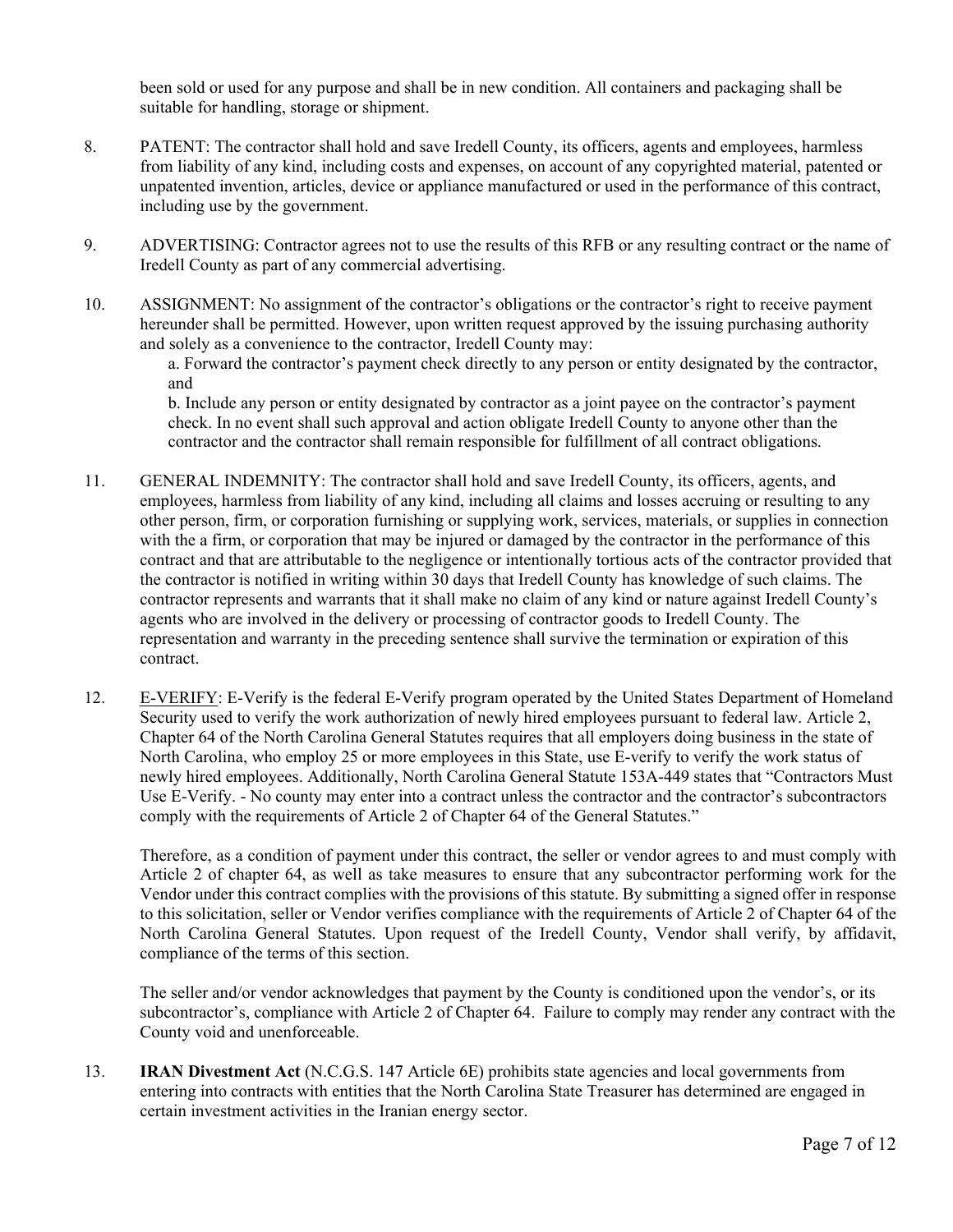been sold or used for any purpose and shall be in new condition. All containers and packaging shall be suitable for handling, storage or shipment.

- 8. PATENT: The contractor shall hold and save Iredell County, its officers, agents and employees, harmless from liability of any kind, including costs and expenses, on account of any copyrighted material, patented or unpatented invention, articles, device or appliance manufactured or used in the performance of this contract, including use by the government.
- 9. ADVERTISING: Contractor agrees not to use the results of this RFB or any resulting contract or the name of Iredell County as part of any commercial advertising.
- 10. ASSIGNMENT: No assignment of the contractor's obligations or the contractor's right to receive payment hereunder shall be permitted. However, upon written request approved by the issuing purchasing authority and solely as a convenience to the contractor, Iredell County may:

a. Forward the contractor's payment check directly to any person or entity designated by the contractor, and

b. Include any person or entity designated by contractor as a joint payee on the contractor's payment check. In no event shall such approval and action obligate Iredell County to anyone other than the contractor and the contractor shall remain responsible for fulfillment of all contract obligations.

- 11. GENERAL INDEMNITY: The contractor shall hold and save Iredell County, its officers, agents, and employees, harmless from liability of any kind, including all claims and losses accruing or resulting to any other person, firm, or corporation furnishing or supplying work, services, materials, or supplies in connection with the a firm, or corporation that may be injured or damaged by the contractor in the performance of this contract and that are attributable to the negligence or intentionally tortious acts of the contractor provided that the contractor is notified in writing within 30 days that Iredell County has knowledge of such claims. The contractor represents and warrants that it shall make no claim of any kind or nature against Iredell County's agents who are involved in the delivery or processing of contractor goods to Iredell County. The representation and warranty in the preceding sentence shall survive the termination or expiration of this contract.
- 12. E-VERIFY: E-Verify is the federal E-Verify program operated by the United States Department of Homeland Security used to verify the work authorization of newly hired employees pursuant to federal law. Article 2, Chapter 64 of the North Carolina General Statutes requires that all employers doing business in the state of North Carolina, who employ 25 or more employees in this State, use E-verify to verify the work status of newly hired employees. Additionally, North Carolina General Statute 153A-449 states that "Contractors Must Use E-Verify. - No county may enter into a contract unless the contractor and the contractor's subcontractors comply with the requirements of Article 2 of Chapter 64 of the General Statutes."

Therefore, as a condition of payment under this contract, the seller or vendor agrees to and must comply with Article 2 of chapter 64, as well as take measures to ensure that any subcontractor performing work for the Vendor under this contract complies with the provisions of this statute. By submitting a signed offer in response to this solicitation, seller or Vendor verifies compliance with the requirements of Article 2 of Chapter 64 of the North Carolina General Statutes. Upon request of the Iredell County, Vendor shall verify, by affidavit, compliance of the terms of this section.

The seller and/or vendor acknowledges that payment by the County is conditioned upon the vendor's, or its subcontractor's, compliance with Article 2 of Chapter 64. Failure to comply may render any contract with the County void and unenforceable.

13. **IRAN Divestment Act** (N.C.G.S. 147 Article 6E) prohibits state agencies and local governments from entering into contracts with entities that the North Carolina State Treasurer has determined are engaged in certain investment activities in the Iranian energy sector.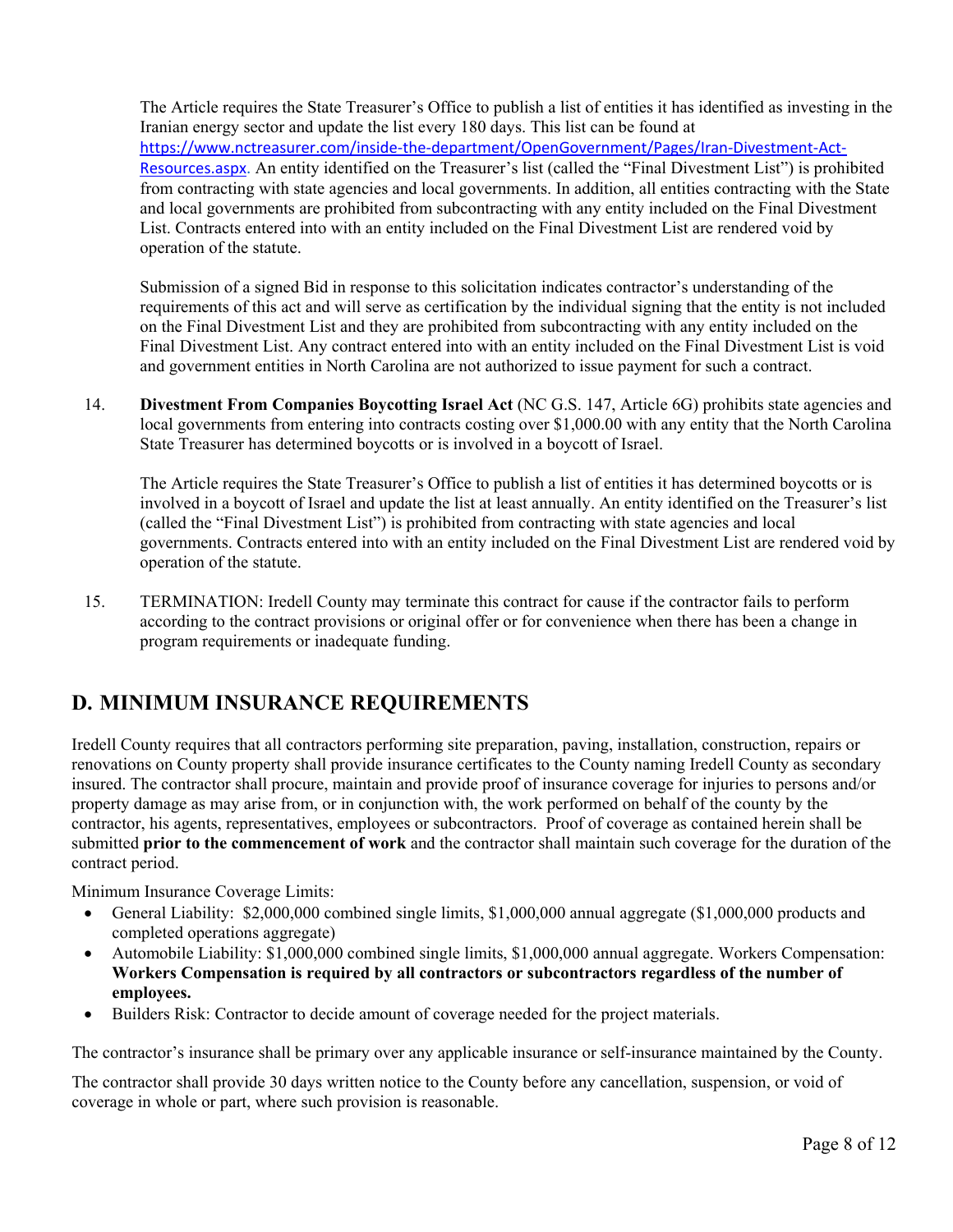The Article requires the State Treasurer's Office to publish a list of entities it has identified as investing in the Iranian energy sector and update the list every 180 days. This list can be found at https://www.nctreasurer.com/inside‐the‐department/OpenGovernment/Pages/Iran‐Divestment‐Act‐ Resources.aspx. An entity identified on the Treasurer's list (called the "Final Divestment List") is prohibited from contracting with state agencies and local governments. In addition, all entities contracting with the State and local governments are prohibited from subcontracting with any entity included on the Final Divestment List. Contracts entered into with an entity included on the Final Divestment List are rendered void by operation of the statute.

Submission of a signed Bid in response to this solicitation indicates contractor's understanding of the requirements of this act and will serve as certification by the individual signing that the entity is not included on the Final Divestment List and they are prohibited from subcontracting with any entity included on the Final Divestment List. Any contract entered into with an entity included on the Final Divestment List is void and government entities in North Carolina are not authorized to issue payment for such a contract.

14. **Divestment From Companies Boycotting Israel Act** (NC G.S. 147, Article 6G) prohibits state agencies and local governments from entering into contracts costing over \$1,000.00 with any entity that the North Carolina State Treasurer has determined boycotts or is involved in a boycott of Israel.

The Article requires the State Treasurer's Office to publish a list of entities it has determined boycotts or is involved in a boycott of Israel and update the list at least annually. An entity identified on the Treasurer's list (called the "Final Divestment List") is prohibited from contracting with state agencies and local governments. Contracts entered into with an entity included on the Final Divestment List are rendered void by operation of the statute.

15. TERMINATION: Iredell County may terminate this contract for cause if the contractor fails to perform according to the contract provisions or original offer or for convenience when there has been a change in program requirements or inadequate funding.

# **D. MINIMUM INSURANCE REQUIREMENTS**

Iredell County requires that all contractors performing site preparation, paving, installation, construction, repairs or renovations on County property shall provide insurance certificates to the County naming Iredell County as secondary insured. The contractor shall procure, maintain and provide proof of insurance coverage for injuries to persons and/or property damage as may arise from, or in conjunction with, the work performed on behalf of the county by the contractor, his agents, representatives, employees or subcontractors. Proof of coverage as contained herein shall be submitted **prior to the commencement of work** and the contractor shall maintain such coverage for the duration of the contract period.

Minimum Insurance Coverage Limits:

- General Liability: \$2,000,000 combined single limits, \$1,000,000 annual aggregate (\$1,000,000 products and completed operations aggregate)
- Automobile Liability: \$1,000,000 combined single limits, \$1,000,000 annual aggregate. Workers Compensation: **Workers Compensation is required by all contractors or subcontractors regardless of the number of employees.**
- Builders Risk: Contractor to decide amount of coverage needed for the project materials.

The contractor's insurance shall be primary over any applicable insurance or self-insurance maintained by the County.

The contractor shall provide 30 days written notice to the County before any cancellation, suspension, or void of coverage in whole or part, where such provision is reasonable.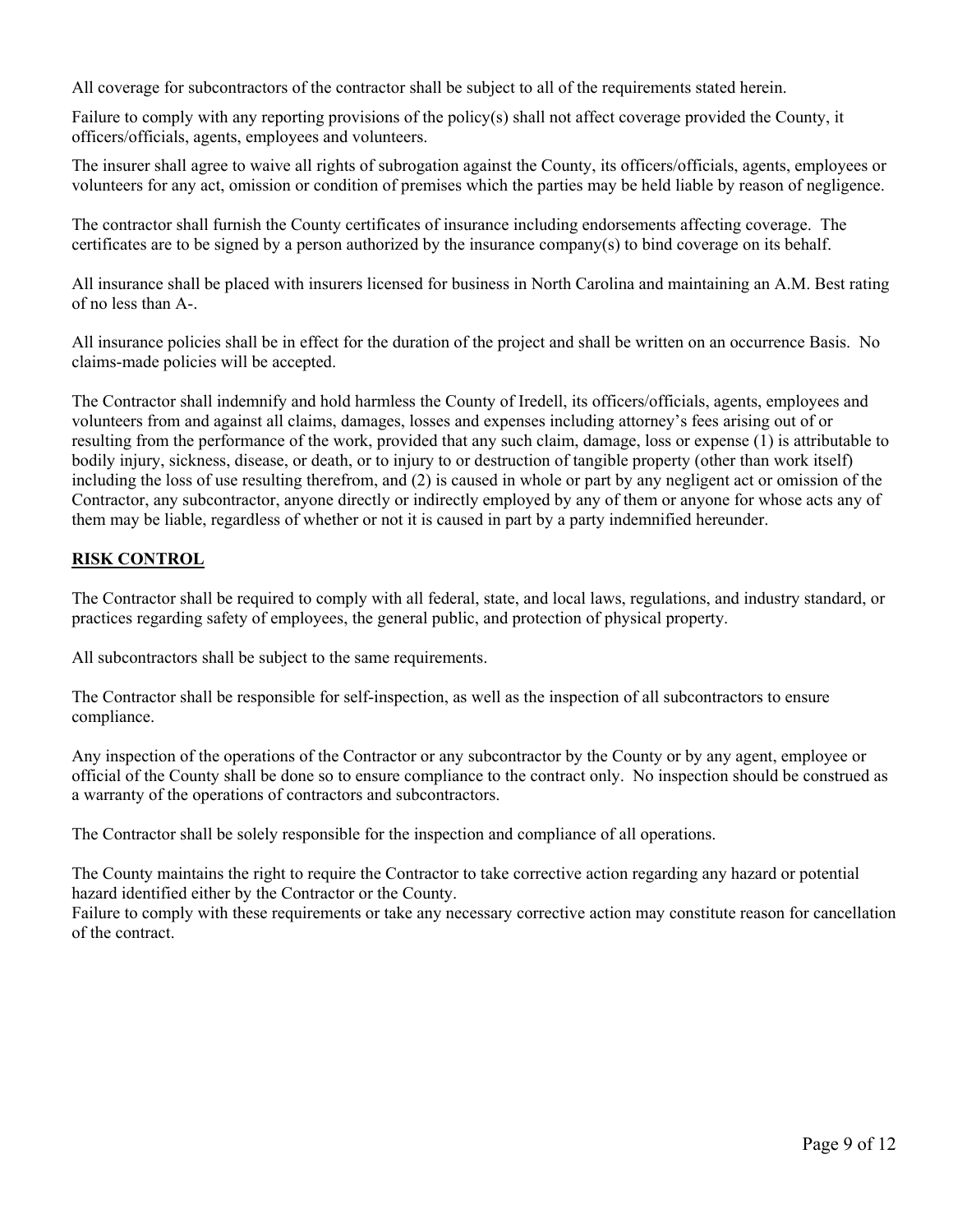All coverage for subcontractors of the contractor shall be subject to all of the requirements stated herein.

Failure to comply with any reporting provisions of the policy(s) shall not affect coverage provided the County, it officers/officials, agents, employees and volunteers.

The insurer shall agree to waive all rights of subrogation against the County, its officers/officials, agents, employees or volunteers for any act, omission or condition of premises which the parties may be held liable by reason of negligence.

The contractor shall furnish the County certificates of insurance including endorsements affecting coverage. The certificates are to be signed by a person authorized by the insurance company(s) to bind coverage on its behalf.

All insurance shall be placed with insurers licensed for business in North Carolina and maintaining an A.M. Best rating of no less than A-.

All insurance policies shall be in effect for the duration of the project and shall be written on an occurrence Basis. No claims-made policies will be accepted.

The Contractor shall indemnify and hold harmless the County of Iredell, its officers/officials, agents, employees and volunteers from and against all claims, damages, losses and expenses including attorney's fees arising out of or resulting from the performance of the work, provided that any such claim, damage, loss or expense (1) is attributable to bodily injury, sickness, disease, or death, or to injury to or destruction of tangible property (other than work itself) including the loss of use resulting therefrom, and (2) is caused in whole or part by any negligent act or omission of the Contractor, any subcontractor, anyone directly or indirectly employed by any of them or anyone for whose acts any of them may be liable, regardless of whether or not it is caused in part by a party indemnified hereunder.

#### **RISK CONTROL**

The Contractor shall be required to comply with all federal, state, and local laws, regulations, and industry standard, or practices regarding safety of employees, the general public, and protection of physical property.

All subcontractors shall be subject to the same requirements.

The Contractor shall be responsible for self-inspection, as well as the inspection of all subcontractors to ensure compliance.

Any inspection of the operations of the Contractor or any subcontractor by the County or by any agent, employee or official of the County shall be done so to ensure compliance to the contract only. No inspection should be construed as a warranty of the operations of contractors and subcontractors.

The Contractor shall be solely responsible for the inspection and compliance of all operations.

The County maintains the right to require the Contractor to take corrective action regarding any hazard or potential hazard identified either by the Contractor or the County.

Failure to comply with these requirements or take any necessary corrective action may constitute reason for cancellation of the contract.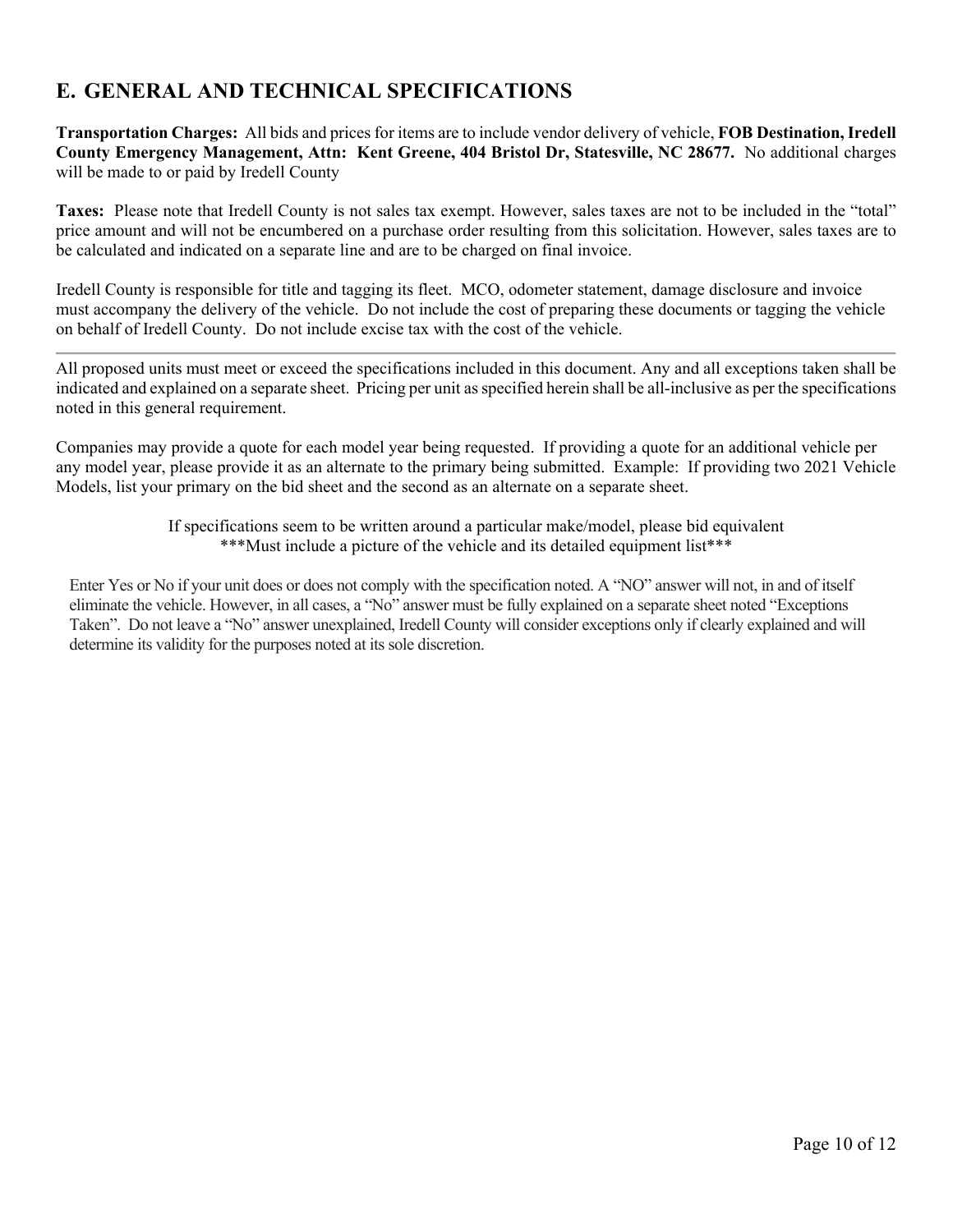# **E. GENERAL AND TECHNICAL SPECIFICATIONS**

**Transportation Charges:** All bids and prices for items are to include vendor delivery of vehicle, **FOB Destination, Iredell County Emergency Management, Attn: Kent Greene, 404 Bristol Dr, Statesville, NC 28677.** No additional charges will be made to or paid by Iredell County

**Taxes:** Please note that Iredell County is not sales tax exempt. However, sales taxes are not to be included in the "total" price amount and will not be encumbered on a purchase order resulting from this solicitation. However, sales taxes are to be calculated and indicated on a separate line and are to be charged on final invoice.

Iredell County is responsible for title and tagging its fleet. MCO, odometer statement, damage disclosure and invoice must accompany the delivery of the vehicle. Do not include the cost of preparing these documents or tagging the vehicle on behalf of Iredell County. Do not include excise tax with the cost of the vehicle.

All proposed units must meet or exceed the specifications included in this document. Any and all exceptions taken shall be indicated and explained on a separate sheet. Pricing per unit as specified herein shall be all-inclusive as per the specifications noted in this general requirement.

Companies may provide a quote for each model year being requested. If providing a quote for an additional vehicle per any model year, please provide it as an alternate to the primary being submitted. Example: If providing two 2021 Vehicle Models, list your primary on the bid sheet and the second as an alternate on a separate sheet.

> If specifications seem to be written around a particular make/model, please bid equivalent \*\*\*Must include a picture of the vehicle and its detailed equipment list\*\*\*

Enter Yes or No if your unit does or does not comply with the specification noted. A "NO" answer will not, in and of itself eliminate the vehicle. However, in all cases, a "No" answer must be fully explained on a separate sheet noted "Exceptions Taken". Do not leave a "No" answer unexplained, Iredell County will consider exceptions only if clearly explained and will determine its validity for the purposes noted at its sole discretion.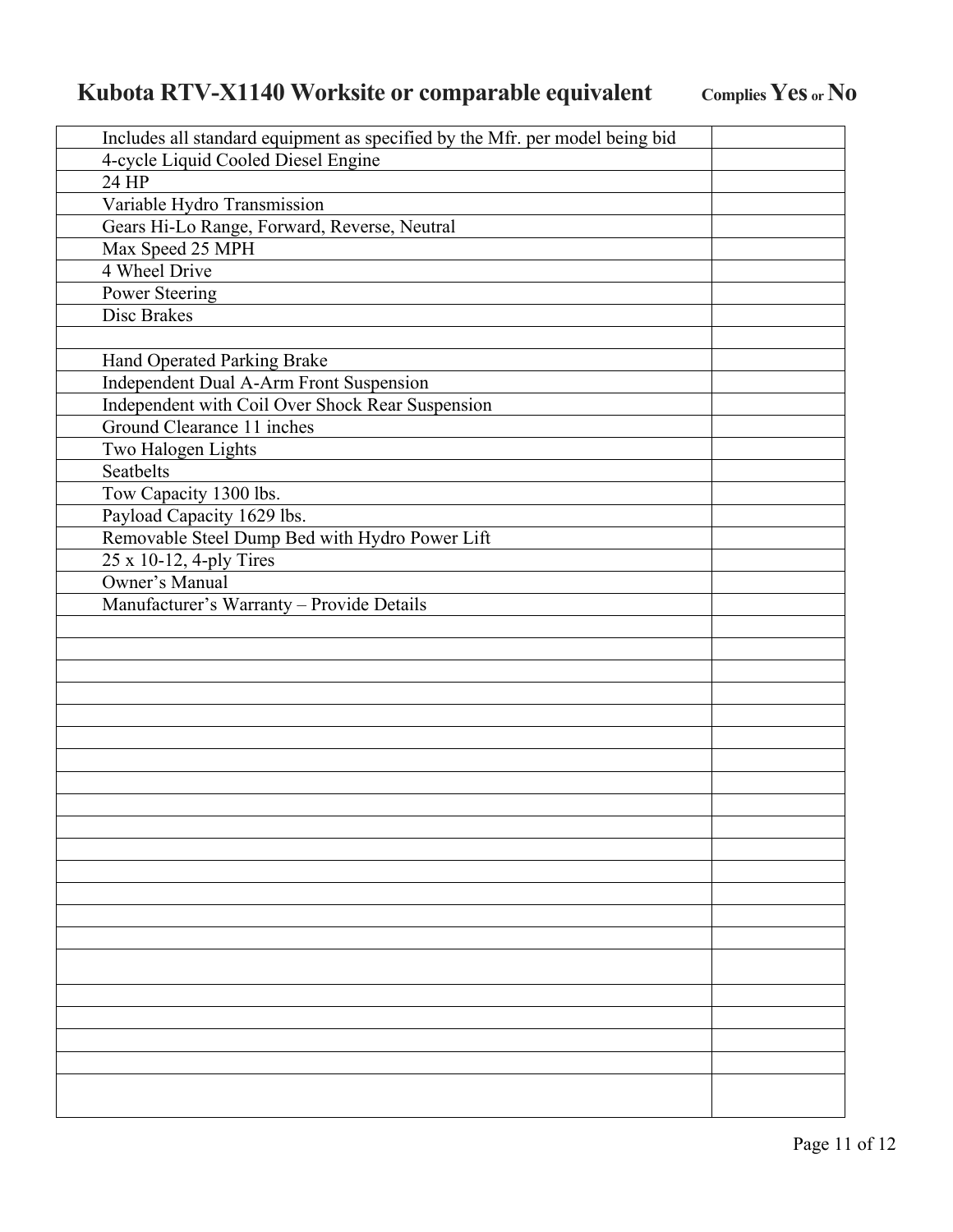# Kubota RTV-X1140 Worksite or comparable equivalent Complies Yes or No

| Includes all standard equipment as specified by the Mfr. per model being bid |  |  |
|------------------------------------------------------------------------------|--|--|
| 4-cycle Liquid Cooled Diesel Engine                                          |  |  |
| 24 HP                                                                        |  |  |
| Variable Hydro Transmission                                                  |  |  |
| Gears Hi-Lo Range, Forward, Reverse, Neutral                                 |  |  |
| Max Speed 25 MPH                                                             |  |  |
| 4 Wheel Drive                                                                |  |  |
| Power Steering                                                               |  |  |
| Disc Brakes                                                                  |  |  |
|                                                                              |  |  |
| Hand Operated Parking Brake                                                  |  |  |
| Independent Dual A-Arm Front Suspension                                      |  |  |
| Independent with Coil Over Shock Rear Suspension                             |  |  |
| Ground Clearance 11 inches                                                   |  |  |
| Two Halogen Lights                                                           |  |  |
| Seatbelts                                                                    |  |  |
| Tow Capacity 1300 lbs.                                                       |  |  |
| Payload Capacity 1629 lbs.                                                   |  |  |
| Removable Steel Dump Bed with Hydro Power Lift                               |  |  |
| 25 x 10-12, 4-ply Tires                                                      |  |  |
| Owner's Manual                                                               |  |  |
| Manufacturer's Warranty - Provide Details                                    |  |  |
|                                                                              |  |  |
|                                                                              |  |  |
|                                                                              |  |  |
|                                                                              |  |  |
|                                                                              |  |  |
|                                                                              |  |  |
|                                                                              |  |  |
|                                                                              |  |  |
|                                                                              |  |  |
|                                                                              |  |  |
|                                                                              |  |  |
|                                                                              |  |  |
|                                                                              |  |  |
|                                                                              |  |  |
|                                                                              |  |  |
|                                                                              |  |  |
|                                                                              |  |  |
|                                                                              |  |  |
|                                                                              |  |  |
|                                                                              |  |  |
|                                                                              |  |  |
|                                                                              |  |  |
|                                                                              |  |  |